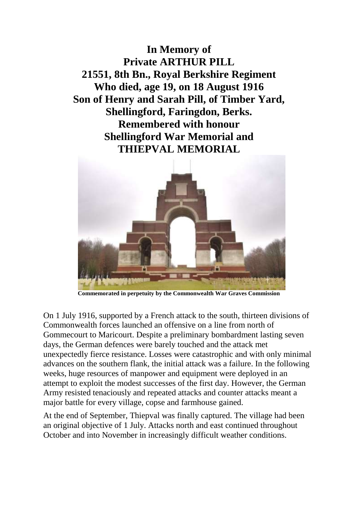**In Memory of Private ARTHUR PILL 21551, 8th Bn., Royal Berkshire Regiment Who died, age 19, on 18 August 1916 Son of Henry and Sarah Pill, of Timber Yard, Shellingford, Faringdon, Berks. Remembered with honour Shellingford War Memorial and THIEPVAL MEMORIAL**



**Commemorated in perpetuity by the Commonwealth War Graves Commission** 

On 1 July 1916, supported by a French attack to the south, thirteen divisions of Commonwealth forces launched an offensive on a line from north of Gommecourt to Maricourt. Despite a preliminary bombardment lasting seven days, the German defences were barely touched and the attack met unexpectedly fierce resistance. Losses were catastrophic and with only minimal advances on the southern flank, the initial attack was a failure. In the following weeks, huge resources of manpower and equipment were deployed in an attempt to exploit the modest successes of the first day. However, the German Army resisted tenaciously and repeated attacks and counter attacks meant a major battle for every village, copse and farmhouse gained.

At the end of September, Thiepval was finally captured. The village had been an original objective of 1 July. Attacks north and east continued throughout October and into November in increasingly difficult weather conditions.